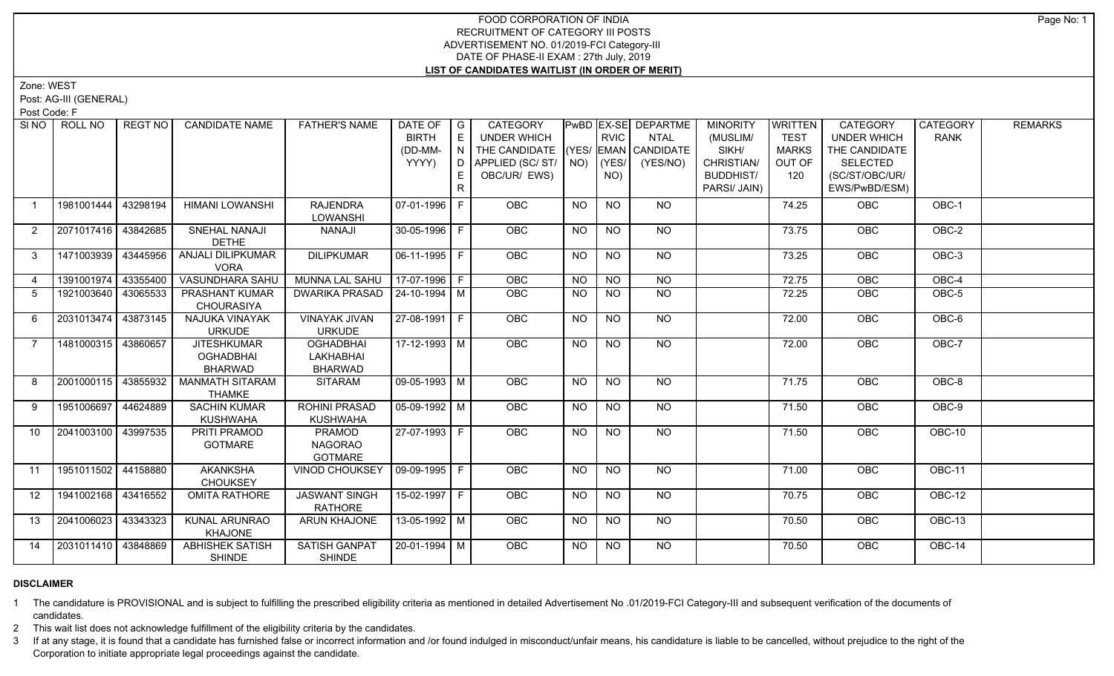Zone: WEST

Post: AG-III (GENERAL)

Post Code: F

| SINO              | ROLL NO             | REGT NO  | <b>CANDIDATE NAME</b>                                    | <b>FATHER'S NAME</b>                                   | DATE OF   G<br><b>BIRTH</b><br>(DD-MM-<br>YYYY) | E<br>$\overline{N}$<br>D.<br>E | CATEGORY<br><b>UNDER WHICH</b><br>THE CANDIDATE (YES/ EMAN CANDIDATE<br>APPLIED (SC/ ST/   NO)<br>OBC/UR/ EWS) |           | <b>RVIC</b><br>(YES/<br>NO) | <b>PwBD EX-SE DEPARTME</b><br><b>NTAL</b><br>(YES/NO) | <b>MINORITY</b><br>(MUSLIM/<br>SIKH/<br>CHRISTIAN/<br><b>BUDDHIST/</b> | WRITTEN<br><b>TEST</b><br><b>MARKS</b><br>OUT OF<br>120 | <b>CATEGORY</b><br><b>UNDER WHICH</b><br>THE CANDIDATE<br><b>SELECTED</b><br>(SC/ST/OBC/UR/ | CATEGORY<br><b>RANK</b> | <b>REMARKS</b> |
|-------------------|---------------------|----------|----------------------------------------------------------|--------------------------------------------------------|-------------------------------------------------|--------------------------------|----------------------------------------------------------------------------------------------------------------|-----------|-----------------------------|-------------------------------------------------------|------------------------------------------------------------------------|---------------------------------------------------------|---------------------------------------------------------------------------------------------|-------------------------|----------------|
|                   |                     |          |                                                          |                                                        |                                                 | R                              |                                                                                                                |           |                             |                                                       | PARSI/ JAIN)                                                           |                                                         | EWS/PwBD/ESM)                                                                               |                         |                |
| $\overline{1}$    | 1981001444          | 43298194 | <b>HIMANI LOWANSHI</b>                                   | <b>RAJENDRA</b><br>LOWANSHI                            | 07-01-1996 F                                    |                                | <b>OBC</b>                                                                                                     | <b>NO</b> | <b>NO</b>                   | NO                                                    |                                                                        | 74.25                                                   | <b>OBC</b>                                                                                  | OBC-1                   |                |
| $\overline{2}$    | 2071017416 43842685 |          | SNEHAL NANAJI<br><b>DETHE</b>                            | NANAJI                                                 | 30-05-1996 F                                    |                                | <b>OBC</b>                                                                                                     | <b>NO</b> | <b>NO</b>                   | NO                                                    |                                                                        | 73.75                                                   | <b>OBC</b>                                                                                  | OBC-2                   |                |
| 3                 | 1471003939          | 43445956 | ANJALI DILIPKUMAR<br><b>VORA</b>                         | <b>DILIPKUMAR</b>                                      | 06-11-1995 F                                    |                                | <b>OBC</b>                                                                                                     | <b>NO</b> | <b>NO</b>                   | NO                                                    |                                                                        | 73.25                                                   | OBC                                                                                         | OBC-3                   |                |
| $\overline{4}$    | 1391001974          | 43355400 | <b>VASUNDHARA SAHU</b>                                   | <b>MUNNA LAL SAHU</b>                                  | $17-07-1996$ F                                  |                                | OBC                                                                                                            | <b>NO</b> | $\overline{NO}$             | NO                                                    |                                                                        | 72.75                                                   | <b>OBC</b>                                                                                  | $OBC-4$                 |                |
| 5                 | 1921003640          | 43065533 | <b>PRASHANT KUMAR</b><br><b>CHOURASIYA</b>               | <b>DWARIKA PRASAD</b>                                  | $ 24 - 10 - 1994 $ M                            |                                | <b>OBC</b>                                                                                                     | NO.       | <b>NO</b>                   | NO                                                    |                                                                        | 72.25                                                   | <b>OBC</b>                                                                                  | OBC-5                   |                |
| 6                 | 2031013474          | 43873145 | NAJUKA VINAYAK<br><b>URKUDE</b>                          | <b>VINAYAK JIVAN</b><br><b>URKUDE</b>                  | 27-08-1991   F                                  |                                | <b>OBC</b>                                                                                                     | <b>NO</b> | NO.                         | NO.                                                   |                                                                        | 72.00                                                   | <b>OBC</b>                                                                                  | OBC-6                   |                |
| $\overline{7}$    | 1481000315 43860657 |          | <b>JITESHKUMAR</b><br><b>OGHADBHAI</b><br><b>BHARWAD</b> | <b>OGHADBHAI</b><br><b>LAKHABHAI</b><br><b>BHARWAD</b> | $17-12-1993$ M                                  |                                | <b>OBC</b>                                                                                                     | NO.       | <b>NO</b>                   | NO                                                    |                                                                        | 72.00                                                   | OBC                                                                                         | OBC-7                   |                |
| 8                 | 2001000115 43855932 |          | <b>MANMATH SITARAM</b><br><b>THAMKE</b>                  | <b>SITARAM</b>                                         | $09-05-1993$ M                                  |                                | OBC                                                                                                            | <b>NO</b> | $N$ O                       | $N$ O                                                 |                                                                        | 71.75                                                   | OBC                                                                                         | $OBC-8$                 |                |
| 9                 | 1951006697          | 44624889 | <b>SACHIN KUMAR</b><br><b>KUSHWAHA</b>                   | <b>ROHINI PRASAD</b><br><b>KUSHWAHA</b>                | 05-09-1992   M                                  |                                | OBC                                                                                                            | <b>NO</b> | NO                          | <b>NO</b>                                             |                                                                        | 71.50                                                   | <b>OBC</b>                                                                                  | OBC-9                   |                |
| 10                | 2041003100          | 43997535 | PRITI PRAMOD<br><b>GOTMARE</b>                           | PRAMOD<br><b>NAGORAO</b><br><b>GOTMARE</b>             | 27-07-1993 F                                    |                                | <b>OBC</b>                                                                                                     | <b>NO</b> | <b>NO</b>                   | NO                                                    |                                                                        | 71.50                                                   | <b>OBC</b>                                                                                  | OBC-10                  |                |
| 11                | 1951011502 44158880 |          | <b>AKANKSHA</b><br><b>CHOUKSEY</b>                       | VINOD CHOUKSEY                                         | 09-09-1995 F                                    |                                | OBC                                                                                                            | <b>NO</b> | NO                          | NO                                                    |                                                                        | 71.00                                                   | OBC                                                                                         | OBC-11                  |                |
| $12 \overline{ }$ | 1941002168          | 43416552 | <b>OMITA RATHORE</b>                                     | <b>JASWANT SINGH</b><br><b>RATHORE</b>                 | 15-02-1997 F                                    |                                | <b>OBC</b>                                                                                                     | NO.       | <b>NO</b>                   | NO.                                                   |                                                                        | 70.75                                                   | <b>OBC</b>                                                                                  | OBC-12                  |                |
| 13                | 2041006023          | 43343323 | KUNAL ARUNRAO<br><b>KHAJONE</b>                          | ARUN KHAJONE                                           | 13-05-1992 M                                    |                                | <b>OBC</b>                                                                                                     | <b>NO</b> | <b>NO</b>                   | NO                                                    |                                                                        | 70.50                                                   | <b>OBC</b>                                                                                  | OBC-13                  |                |
| 14                | 2031011410 43848869 |          | <b>ABHISHEK SATISH</b><br><b>SHINDE</b>                  | <b>SATISH GANPAT</b><br><b>SHINDE</b>                  | 20-01-1994 M                                    |                                | OBC                                                                                                            | <b>NO</b> | NO.                         | NO                                                    |                                                                        | 70.50                                                   | <b>OBC</b>                                                                                  | OBC-14                  |                |

# **DISCLAIMER**

1 The candidature is PROVISIONAL and is subject to fulfilling the prescribed eligibility criteria as mentioned in detailed Advertisement No .01/2019-FCI Category-III and subsequent verification of the documents of candidates.

2 This wait list does not acknowledge fulfillment of the eligibility criteria by the candidates.

3 If at any stage, it is found that a candidate has furnished false or incorrect information and /or found indulged in misconduct/unfair means, his candidature is liable to be cancelled, without prejudice to the right of t Corporation to initiate appropriate legal proceedings against the candidate.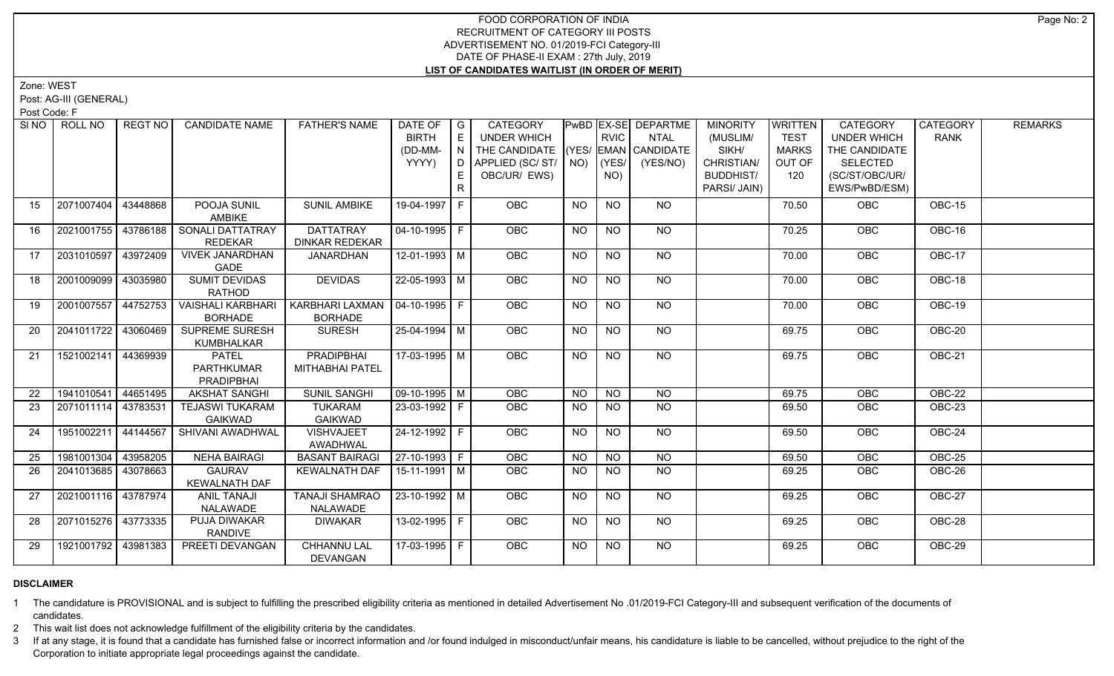Zone: WEST

Post: AG-III (GENERAL)

Post Code: F

| SI <sub>NO</sub> | ROLL NO             | <b>REGT NO</b> | <b>CANDIDATE NAME</b>                                  | <b>FATHER'S NAME</b>                               | DATE OF $ G $<br><b>BIRTH</b><br>(DD-MM-<br>YYYY) | E<br>IN I<br>R. | CATEGORY<br>UNDER WHICH<br>THE CANDIDATE (YES/ EMAN CANDIDATE<br>D   APPLIED (SC/ ST/   NO)<br>OBC/UR/ EWS) |           | <b>RVIC</b><br>(YES/<br>NO) | PwBD EX-SE DEPARTME<br>NTAL<br>(YES/NO) | <b>MINORITY</b><br>(MUSLIM/<br>SIKH/<br>CHRISTIAN/<br><b>BUDDHIST/</b><br>PARSI/ JAIN) | <b>WRITTEN</b><br><b>TEST</b><br><b>MARKS</b><br>OUT OF<br>120 | CATEGORY<br><b>UNDER WHICH</b><br>THE CANDIDATE<br><b>SELECTED</b><br>(SC/ST/OBC/UR/<br>EWS/PwBD/ESM) | CATEGORY<br><b>RANK</b> | <b>REMARKS</b> |
|------------------|---------------------|----------------|--------------------------------------------------------|----------------------------------------------------|---------------------------------------------------|-----------------|-------------------------------------------------------------------------------------------------------------|-----------|-----------------------------|-----------------------------------------|----------------------------------------------------------------------------------------|----------------------------------------------------------------|-------------------------------------------------------------------------------------------------------|-------------------------|----------------|
| 15               | 2071007404          | 43448868       | POOJA SUNIL<br><b>AMBIKE</b>                           | <b>SUNIL AMBIKE</b>                                | 19-04-1997 F                                      |                 | <b>OBC</b>                                                                                                  | <b>NO</b> | <b>NO</b>                   | NO                                      |                                                                                        | 70.50                                                          | OBC                                                                                                   | OBC-15                  |                |
| 16               | 2021001755          | 43786188       | SONALI DATTATRAY<br><b>REDEKAR</b>                     | <b>DATTATRAY</b><br><b>DINKAR REDEKAR</b>          | $04 - 10 - 1995$ F                                |                 | OBC                                                                                                         | <b>NO</b> | <b>NO</b>                   | NO                                      |                                                                                        | 70.25                                                          | <b>OBC</b>                                                                                            | OBC-16                  |                |
| 17               | 2031010597          | 43972409       | <b>VIVEK JANARDHAN</b><br>GADE                         | <b>JANARDHAN</b>                                   | $12 - 01 - 1993$ M                                |                 | <b>OBC</b>                                                                                                  | <b>NO</b> | <b>NO</b>                   | <b>NO</b>                               |                                                                                        | 70.00                                                          | <b>OBC</b>                                                                                            | OBC-17                  |                |
| 18               | 2001009099 43035980 |                | <b>SUMIT DEVIDAS</b><br>RATHOD                         | <b>DEVIDAS</b>                                     | $22 - 05 - 1993$ M                                |                 | OBC                                                                                                         | <b>NO</b> | $\overline{NO}$             | N <sub>O</sub>                          |                                                                                        | 70.00                                                          | OBC                                                                                                   | $OBC-18$                |                |
| 19               | 2001007557 44752753 |                | <b>VAISHALI KARBHARI</b><br><b>BORHADE</b>             | KARBHARI LAXMAN   04-10-1995   F<br><b>BORHADE</b> |                                                   |                 | OBC                                                                                                         | <b>NO</b> | <b>NO</b>                   | <b>NO</b>                               |                                                                                        | 70.00                                                          | OBC                                                                                                   | OBC-19                  |                |
| 20               | 2041011722 43060469 |                | <b>SUPREME SURESH</b><br><b>KUMBHALKAR</b>             | <b>SURESH</b>                                      | $25 - 04 - 1994$ M                                |                 | <b>OBC</b>                                                                                                  | <b>NO</b> | $N$ O                       | $N$ <sup>O</sup>                        |                                                                                        | 69.75                                                          | OBC                                                                                                   | <b>OBC-20</b>           |                |
| 21               | 1521002141 44369939 |                | <b>PATEL</b><br><b>PARTHKUMAR</b><br><b>PRADIPBHAI</b> | <b>PRADIPBHAI</b><br>MITHABHAI PATEL               | 17-03-1995 M                                      |                 | OBC                                                                                                         | <b>NO</b> | <b>NO</b>                   | <b>NO</b>                               |                                                                                        | 69.75                                                          | OBC                                                                                                   | OBC-21                  |                |
| 22               | 1941010541 44651495 |                | <b>AKSHAT SANGHI</b>                                   | <b>SUNIL SANGHI</b>                                | $\boxed{09 - 10 - 1995}$ M                        |                 | OBC                                                                                                         | <b>NO</b> | <b>NO</b>                   | $N$ <sup>O</sup>                        |                                                                                        | 69.75                                                          | OBC                                                                                                   | <b>OBC-22</b>           |                |
| 23               | 2071011114 43783531 |                | <b>TEJASWI TUKARAM</b><br><b>GAIKWAD</b>               | <b>TUKARAM</b><br><b>GAIKWAD</b>                   | 23-03-1992 F                                      |                 | <b>OBC</b>                                                                                                  | NO.       | NO.                         | <b>NO</b>                               |                                                                                        | 69.50                                                          | <b>OBC</b>                                                                                            | OBC-23                  |                |
| 24               | 1951002211 44144567 |                | SHIVANI AWADHWAL                                       | <b>VISHVAJEET</b><br>AWADHWAL                      | 24-12-1992   F                                    |                 | <b>OBC</b>                                                                                                  | <b>NO</b> | NO.                         | NO                                      |                                                                                        | 69.50                                                          | <b>OBC</b>                                                                                            | OBC-24                  |                |
| 25               | 1981001304          | 43958205       | <b>NEHA BAIRAGI</b>                                    | <b>BASANT BAIRAGI</b>                              | $ 27-10-1993 F$                                   |                 | OBC                                                                                                         | <b>NO</b> | <b>NO</b>                   | <b>NO</b>                               |                                                                                        | 69.50                                                          | OBC                                                                                                   | OBC-25                  |                |
| 26               | 2041013685 43078663 |                | <b>GAURAV</b><br><b>KEWALNATH DAF</b>                  | <b>KEWALNATH DAF</b>                               | $15-11-1991$ M                                    |                 | <b>OBC</b>                                                                                                  | <b>NO</b> | <b>NO</b>                   | <b>NO</b>                               |                                                                                        | 69.25                                                          | OBC                                                                                                   | $OBC-26$                |                |
| 27               | 2021001116 43787974 |                | <b>ANIL TANAJI</b><br><b>NALAWADE</b>                  | <b>TANAJI SHAMRAO</b><br>NALAWADE                  | $23 - 10 - 1992$ M                                |                 | OBC                                                                                                         | <b>NO</b> | <b>NO</b>                   | NO                                      |                                                                                        | 69.25                                                          | OBC                                                                                                   | OBC-27                  |                |
| 28               | 2071015276 43773335 |                | PUJA DIWAKAR<br><b>RANDIVE</b>                         | <b>DIWAKAR</b>                                     | 13-02-1995 F                                      |                 | <b>OBC</b>                                                                                                  | <b>NO</b> | $N$ O                       | NO                                      |                                                                                        | 69.25                                                          | <b>OBC</b>                                                                                            | $OBC-28$                |                |
| 29               | 1921001792 43981383 |                | PREETI DEVANGAN                                        | <b>CHHANNU LAL</b><br>DEVANGAN                     | 17-03-1995   F                                    |                 | <b>OBC</b>                                                                                                  | <b>NO</b> | <b>NO</b>                   | NO                                      |                                                                                        | 69.25                                                          | OBC                                                                                                   | <b>OBC-29</b>           |                |

# **DISCLAIMER**

1 The candidature is PROVISIONAL and is subject to fulfilling the prescribed eligibility criteria as mentioned in detailed Advertisement No .01/2019-FCI Category-III and subsequent verification of the documents of candidates.

2 This wait list does not acknowledge fulfillment of the eligibility criteria by the candidates.

3 If at any stage, it is found that a candidate has furnished false or incorrect information and /or found indulged in misconduct/unfair means, his candidature is liable to be cancelled, without prejudice to the right of t Corporation to initiate appropriate legal proceedings against the candidate.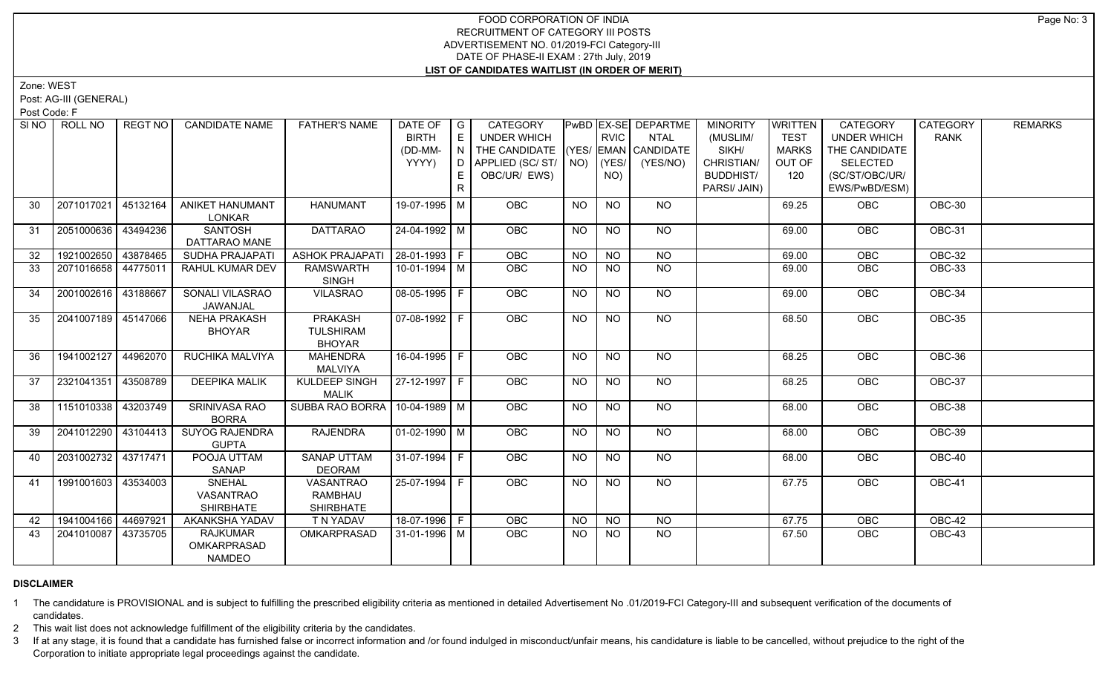Zone: WEST

Post: AG-III (GENERAL)

Post Code: F

| SI NO | ROLL NO               | <b>REGT NO</b> | <b>CANDIDATE NAME</b>                                 | <b>FATHER'S NAME</b>                                | DATE OF $ G $<br><b>BIRTH</b><br>(DD-MM-<br>YYYY) | E<br>IN.<br>D <sub>1</sub><br>E.<br>R. | CATEGORY<br>UNDER WHICH<br>THE CANDIDATE (YES/ EMAN CANDIDATE<br>APPLIED (SC/ST/ NO)<br>OBC/UR/ EWS) |           | <b>RVIC</b><br>(YES/<br>NO) | PwBD EX-SE DEPARTME<br>NTAL<br>(YES/NO) | <b>MINORITY</b><br>(MUSLIM/<br>SIKH/<br>CHRISTIAN/<br><b>BUDDHIST/</b><br>PARSI/ JAIN) | <b>WRITTEN</b><br><b>TEST</b><br><b>MARKS</b><br>OUT OF<br>120 | CATEGORY<br><b>UNDER WHICH</b><br>THE CANDIDATE<br><b>SELECTED</b><br>(SC/ST/OBC/UR/<br>EWS/PwBD/ESM) | CATEGORY<br>RANK | <b>REMARKS</b> |
|-------|-----------------------|----------------|-------------------------------------------------------|-----------------------------------------------------|---------------------------------------------------|----------------------------------------|------------------------------------------------------------------------------------------------------|-----------|-----------------------------|-----------------------------------------|----------------------------------------------------------------------------------------|----------------------------------------------------------------|-------------------------------------------------------------------------------------------------------|------------------|----------------|
| 30    | 2071017021            | 45132164       | ANIKET HANUMANT<br>LONKAR                             | <b>HANUMANT</b>                                     | 19-07-1995 M                                      |                                        | OBC                                                                                                  | NO        | <b>NO</b>                   | NO                                      |                                                                                        | 69.25                                                          | OBC                                                                                                   | OBC-30           |                |
| 31    | 2051000636            | 43494236       | <b>SANTOSH</b><br>DATTARAO MANE                       | <b>DATTARAO</b>                                     | $24 - 04 - 1992$ M                                |                                        | OBC                                                                                                  | <b>NO</b> | <b>NO</b>                   | NO                                      |                                                                                        | 69.00                                                          | <b>OBC</b>                                                                                            | OBC-31           |                |
| 32    | 1921002650 43878465   |                | <b>SUDHA PRAJAPATI</b>                                | ASHOK PRAJAPATI   28-01-1993   F                    |                                                   |                                        | OBC                                                                                                  | <b>NO</b> | <b>NO</b>                   | $\overline{NO}$                         |                                                                                        | 69.00                                                          | OBC                                                                                                   | <b>OBC-32</b>    |                |
| 33    | 2071016658 44775011   |                | RAHUL KUMAR DEV                                       | <b>RAMSWARTH</b><br><b>SINGH</b>                    | $10-01-1994$ M                                    |                                        | OBC                                                                                                  | <b>NO</b> | <b>NO</b>                   | <b>NO</b>                               |                                                                                        | 69.00                                                          | OBC                                                                                                   | <b>OBC-33</b>    |                |
| 34    | 2001002616 43188667   |                | SONALI VILASRAO<br>JAWANJAL                           | <b>VILASRAO</b>                                     | 08-05-1995 F                                      |                                        | OBC                                                                                                  | <b>NO</b> | <b>NO</b>                   | NO                                      |                                                                                        | 69.00                                                          | OBC                                                                                                   | OBC-34           |                |
| 35    | 2041007189 45147066   |                | <b>NEHA PRAKASH</b><br><b>BHOYAR</b>                  | <b>PRAKASH</b><br><b>TULSHIRAM</b><br><b>BHOYAR</b> | $\boxed{07 - 08 - 1992}$ F                        |                                        | OBC                                                                                                  | <b>NO</b> | <b>NO</b>                   | $N$ O                                   |                                                                                        | 68.50                                                          | <b>OBC</b>                                                                                            | <b>OBC-35</b>    |                |
| 36    | 1941002127 44962070   |                | <b>RUCHIKA MALVIYA</b>                                | <b>MAHENDRA</b><br><b>MALVIYA</b>                   | $16-04-1995$ F                                    |                                        | OBC                                                                                                  | <b>NO</b> | NO                          | NO                                      |                                                                                        | 68.25                                                          | OBC                                                                                                   | <b>OBC-36</b>    |                |
| 37    | 2321041351 43508789   |                | <b>DEEPIKA MALIK</b>                                  | <b>KULDEEP SINGH</b><br><b>MALIK</b>                | $27-12-1997$ F                                    |                                        | OBC                                                                                                  | <b>NO</b> | <b>NO</b>                   | <b>NO</b>                               |                                                                                        | 68.25                                                          | OBC                                                                                                   | <b>OBC-37</b>    |                |
| 38    | 1151010338 43203749   |                | SRINIVASA RAO<br><b>BORRA</b>                         | SUBBA RAO BORRA   10-04-1989   M                    |                                                   |                                        | <b>OBC</b>                                                                                           | NO        | <b>NO</b>                   | NO                                      |                                                                                        | 68.00                                                          | <b>OBC</b>                                                                                            | OBC-38           |                |
| 39    | 2041012290 43104413   |                | <b>SUYOG RAJENDRA</b><br><b>GUPTA</b>                 | <b>RAJENDRA</b>                                     | $01-02-1990$ M                                    |                                        | <b>OBC</b>                                                                                           | <b>NO</b> | <b>NO</b>                   | NO                                      |                                                                                        | 68.00                                                          | OBC                                                                                                   | OBC-39           |                |
| 40    | 2031002732 43717471   |                | POOJA UTTAM<br>SANAP                                  | <b>SANAP UTTAM</b><br><b>DEORAM</b>                 | 31-07-1994 F                                      |                                        | OBC                                                                                                  | <b>NO</b> | <b>NO</b>                   | $\overline{NO}$                         |                                                                                        | 68.00                                                          | OBC                                                                                                   | $OBC-40$         |                |
| 41    | 1991001603 43534003   |                | <b>SNEHAL</b><br><b>VASANTRAO</b><br><b>SHIRBHATE</b> | <b>VASANTRAO</b><br>RAMBHAU<br><b>SHIRBHATE</b>     | $25-07-1994$ F                                    |                                        | OBC                                                                                                  | <b>NO</b> | <b>NO</b>                   | N <sub>O</sub>                          |                                                                                        | 67.75                                                          | OBC                                                                                                   | <b>OBC-41</b>    |                |
| 42    | 1941004166 44697921   |                | AKANKSHA YADAV                                        | T N YADAV                                           | 18-07-1996 F                                      |                                        | OBC                                                                                                  | <b>NO</b> | <b>NO</b>                   | <b>NO</b>                               |                                                                                        | 67.75                                                          | OBC                                                                                                   | $OBC-42$         |                |
| 43    | 2041010087   43735705 |                | <b>RAJKUMAR</b><br>OMKARPRASAD<br><b>NAMDEO</b>       | <b>OMKARPRASAD</b>                                  | l 31-01-1996 l M                                  |                                        | <b>OBC</b>                                                                                           | <b>NO</b> | NO.                         | <b>NO</b>                               |                                                                                        | 67.50                                                          | <b>OBC</b>                                                                                            | OBC-43           |                |

# **DISCLAIMER**

1 The candidature is PROVISIONAL and is subject to fulfilling the prescribed eligibility criteria as mentioned in detailed Advertisement No .01/2019-FCI Category-III and subsequent verification of the documents of candidates.

2 This wait list does not acknowledge fulfillment of the eligibility criteria by the candidates.

3 If at any stage, it is found that a candidate has furnished false or incorrect information and /or found indulged in misconduct/unfair means, his candidature is liable to be cancelled, without prejudice to the right of t Corporation to initiate appropriate legal proceedings against the candidate.